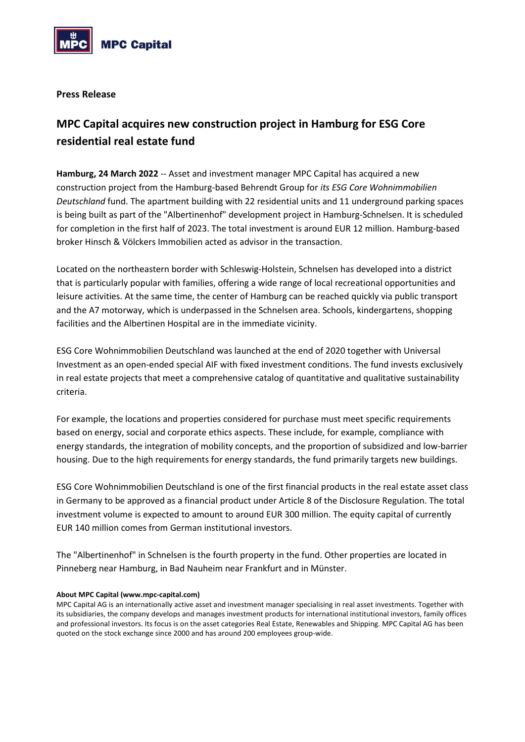

**Press Release**

## **MPC Capital acquires new construction project in Hamburg for ESG Core residential real estate fund**

**Hamburg, 24 March 2022** -- Asset and investment manager MPC Capital has acquired a new construction project from the Hamburg-based Behrendt Group for *its ESG Core Wohnimmobilien Deutschland* fund. The apartment building with 22 residential units and 11 underground parking spaces is being built as part of the "Albertinenhof" development project in Hamburg-Schnelsen. It is scheduled for completion in the first half of 2023. The total investment is around EUR 12 million. Hamburg-based broker Hinsch & Völckers Immobilien acted as advisor in the transaction.

Located on the northeastern border with Schleswig-Holstein, Schnelsen has developed into a district that is particularly popular with families, offering a wide range of local recreational opportunities and leisure activities. At the same time, the center of Hamburg can be reached quickly via public transport and the A7 motorway, which is underpassed in the Schnelsen area. Schools, kindergartens, shopping facilities and the Albertinen Hospital are in the immediate vicinity.

ESG Core Wohnimmobilien Deutschland was launched at the end of 2020 together with Universal Investment as an open-ended special AIF with fixed investment conditions. The fund invests exclusively in real estate projects that meet a comprehensive catalog of quantitative and qualitative sustainability criteria.

For example, the locations and properties considered for purchase must meet specific requirements based on energy, social and corporate ethics aspects. These include, for example, compliance with energy standards, the integration of mobility concepts, and the proportion of subsidized and low-barrier housing. Due to the high requirements for energy standards, the fund primarily targets new buildings.

ESG Core Wohnimmobilien Deutschland is one of the first financial products in the real estate asset class in Germany to be approved as a financial product under Article 8 of the Disclosure Regulation. The total investment volume is expected to amount to around EUR 300 million. The equity capital of currently EUR 140 million comes from German institutional investors.

The "Albertinenhof" in Schnelsen is the fourth property in the fund. Other properties are located in Pinneberg near Hamburg, in Bad Nauheim near Frankfurt and in Münster.

## **About MPC Capital (www.mpc-capital.com)**

MPC Capital AG is an internationally active asset and investment manager specialising in real asset investments. Together with its subsidiaries, the company develops and manages investment products for international institutional investors, family offices and professional investors. Its focus is on the asset categories Real Estate, Renewables and Shipping. MPC Capital AG has been quoted on the stock exchange since 2000 and has around 200 employees group-wide.